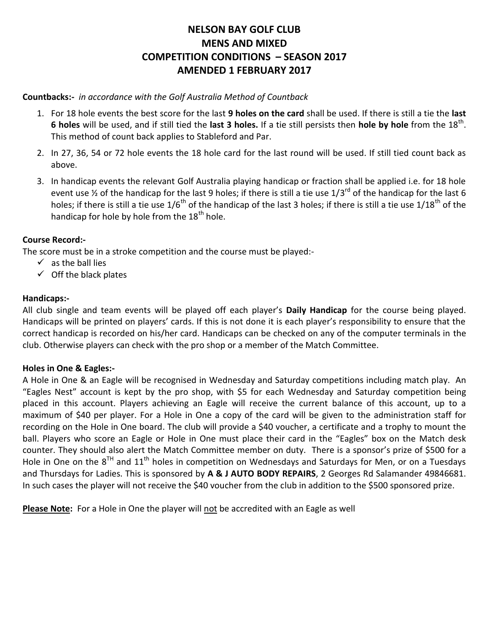# **NELSON BAY GOLF CLUB MENS AND MIXED COMPETITION CONDITIONS – SEASON 2017 AMENDED 1 FEBRUARY 2017**

#### **Countbacks:-** *in accordance with the Golf Australia Method of Countback*

- 1. For 18 hole events the best score for the last **9 holes on the card** shall be used. If there is still a tie the **last 6 holes** will be used, and if still tied the last 3 holes. If a tie still persists then hole by hole from the 18<sup>th</sup>. This method of count back applies to Stableford and Par.
- 2. In 27, 36, 54 or 72 hole events the 18 hole card for the last round will be used. If still tied count back as above.
- 3. In handicap events the relevant Golf Australia playing handicap or fraction shall be applied i.e. for 18 hole event use  $\frac{1}{2}$  of the handicap for the last 9 holes; if there is still a tie use 1/3<sup>rd</sup> of the handicap for the last 6 holes; if there is still a tie use  $1/6^{th}$  of the handicap of the last 3 holes; if there is still a tie use  $1/18^{th}$  of the handicap for hole by hole from the  $18<sup>th</sup>$  hole.

#### **Course Record:-**

The score must be in a stroke competition and the course must be played:-

- $\checkmark$  as the ball lies
- $\checkmark$  Off the black plates

### **Handicaps:-**

All club single and team events will be played off each player's **Daily Handicap** for the course being played. Handicaps will be printed on players' cards. If this is not done it is each player's responsibility to ensure that the correct handicap is recorded on his/her card. Handicaps can be checked on any of the computer terminals in the club. Otherwise players can check with the pro shop or a member of the Match Committee.

#### **Holes in One & Eagles:-**

A Hole in One & an Eagle will be recognised in Wednesday and Saturday competitions including match play. An "Eagles Nest" account is kept by the pro shop, with \$5 for each Wednesday and Saturday competition being placed in this account. Players achieving an Eagle will receive the current balance of this account, up to a maximum of \$40 per player. For a Hole in One a copy of the card will be given to the administration staff for recording on the Hole in One board. The club will provide a \$40 voucher, a certificate and a trophy to mount the ball. Players who score an Eagle or Hole in One must place their card in the "Eagles" box on the Match desk counter. They should also alert the Match Committee member on duty. There is a sponsor's prize of \$500 for a Hole in One on the  $8^{TH}$  and  $11^{th}$  holes in competition on Wednesdays and Saturdays for Men, or on a Tuesdays and Thursdays for Ladies. This is sponsored by **A & J AUTO BODY REPAIRS**, 2 Georges Rd Salamander 49846681. In such cases the player will not receive the \$40 voucher from the club in addition to the \$500 sponsored prize.

**Please Note:** For a Hole in One the player will not be accredited with an Eagle as well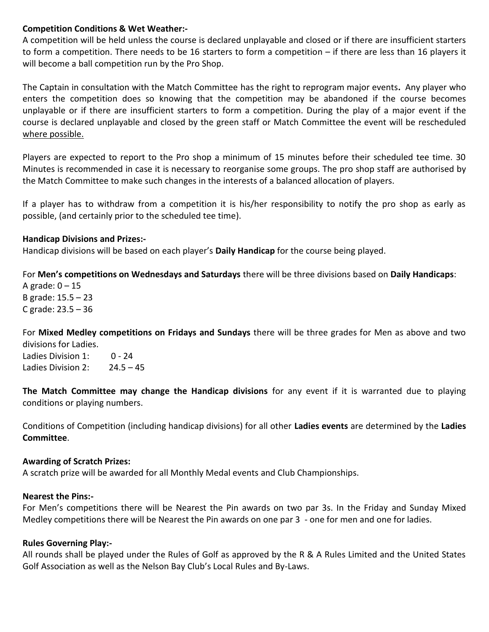#### **Competition Conditions & Wet Weather:-**

A competition will be held unless the course is declared unplayable and closed or if there are insufficient starters to form a competition. There needs to be 16 starters to form a competition – if there are less than 16 players it will become a ball competition run by the Pro Shop.

The Captain in consultation with the Match Committee has the right to reprogram major events**.** Any player who enters the competition does so knowing that the competition may be abandoned if the course becomes unplayable or if there are insufficient starters to form a competition. During the play of a major event if the course is declared unplayable and closed by the green staff or Match Committee the event will be rescheduled where possible.

Players are expected to report to the Pro shop a minimum of 15 minutes before their scheduled tee time. 30 Minutes is recommended in case it is necessary to reorganise some groups. The pro shop staff are authorised by the Match Committee to make such changes in the interests of a balanced allocation of players.

If a player has to withdraw from a competition it is his/her responsibility to notify the pro shop as early as possible, (and certainly prior to the scheduled tee time).

#### **Handicap Divisions and Prizes:-**

Handicap divisions will be based on each player's **Daily Handicap** for the course being played.

For **Men's competitions on Wednesdays and Saturdays** there will be three divisions based on **Daily Handicaps**: A grade:  $0 - 15$ 

B grade: 15.5 – 23 C grade: 23.5 – 36

For **Mixed Medley competitions on Fridays and Sundays** there will be three grades for Men as above and two divisions for Ladies.

Ladies Division 1: 0 - 24 Ladies Division 2:  $24.5 - 45$ 

**The Match Committee may change the Handicap divisions** for any event if it is warranted due to playing conditions or playing numbers.

Conditions of Competition (including handicap divisions) for all other **Ladies events** are determined by the **Ladies Committee**.

### **Awarding of Scratch Prizes:**

A scratch prize will be awarded for all Monthly Medal events and Club Championships.

### **Nearest the Pins:-**

For Men's competitions there will be Nearest the Pin awards on two par 3s. In the Friday and Sunday Mixed Medley competitions there will be Nearest the Pin awards on one par 3 - one for men and one for ladies.

### **Rules Governing Play:-**

All rounds shall be played under the Rules of Golf as approved by the R & A Rules Limited and the United States Golf Association as well as the Nelson Bay Club's Local Rules and By-Laws.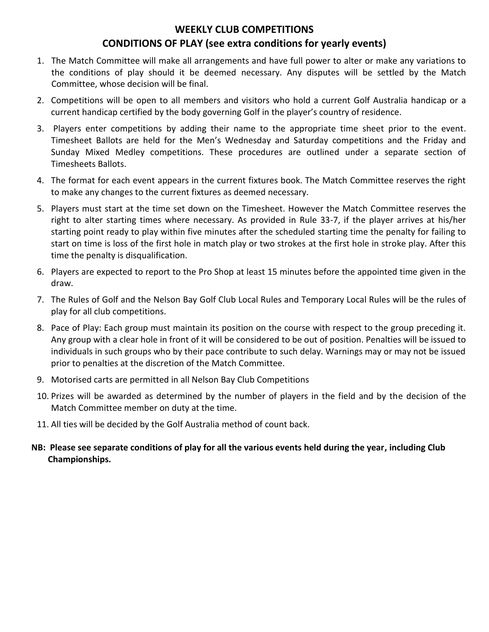# **WEEKLY CLUB COMPETITIONS CONDITIONS OF PLAY (see extra conditions for yearly events)**

- 1. The Match Committee will make all arrangements and have full power to alter or make any variations to the conditions of play should it be deemed necessary. Any disputes will be settled by the Match Committee, whose decision will be final.
- 2. Competitions will be open to all members and visitors who hold a current Golf Australia handicap or a current handicap certified by the body governing Golf in the player's country of residence.
- 3. Players enter competitions by adding their name to the appropriate time sheet prior to the event. Timesheet Ballots are held for the Men's Wednesday and Saturday competitions and the Friday and Sunday Mixed Medley competitions. These procedures are outlined under a separate section of Timesheets Ballots.
- 4. The format for each event appears in the current fixtures book. The Match Committee reserves the right to make any changes to the current fixtures as deemed necessary.
- 5. Players must start at the time set down on the Timesheet. However the Match Committee reserves the right to alter starting times where necessary. As provided in Rule 33-7, if the player arrives at his/her starting point ready to play within five minutes after the scheduled starting time the penalty for failing to start on time is loss of the first hole in match play or two strokes at the first hole in stroke play. After this time the penalty is disqualification.
- 6. Players are expected to report to the Pro Shop at least 15 minutes before the appointed time given in the draw.
- 7. The Rules of Golf and the Nelson Bay Golf Club Local Rules and Temporary Local Rules will be the rules of play for all club competitions.
- 8. Pace of Play: Each group must maintain its position on the course with respect to the group preceding it. Any group with a clear hole in front of it will be considered to be out of position. Penalties will be issued to individuals in such groups who by their pace contribute to such delay. Warnings may or may not be issued prior to penalties at the discretion of the Match Committee.
- 9. Motorised carts are permitted in all Nelson Bay Club Competitions
- 10. Prizes will be awarded as determined by the number of players in the field and by the decision of the Match Committee member on duty at the time.
- 11. All ties will be decided by the Golf Australia method of count back.
- **NB: Please see separate conditions of play for all the various events held during the year, including Club Championships.**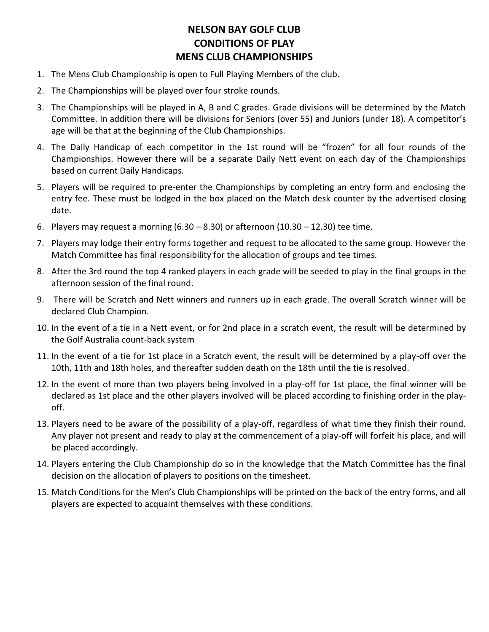# **NELSON BAY GOLF CLUB CONDITIONS OF PLAY MENS CLUB CHAMPIONSHIPS**

- 1. The Mens Club Championship is open to Full Playing Members of the club.
- 2. The Championships will be played over four stroke rounds.
- 3. The Championships will be played in A, B and C grades. Grade divisions will be determined by the Match Committee. In addition there will be divisions for Seniors (over 55) and Juniors (under 18). A competitor's age will be that at the beginning of the Club Championships.
- 4. The Daily Handicap of each competitor in the 1st round will be "frozen" for all four rounds of the Championships. However there will be a separate Daily Nett event on each day of the Championships based on current Daily Handicaps.
- 5. Players will be required to pre-enter the Championships by completing an entry form and enclosing the entry fee. These must be lodged in the box placed on the Match desk counter by the advertised closing date.
- 6. Players may request a morning  $(6.30 8.30)$  or afternoon  $(10.30 12.30)$  tee time.
- 7. Players may lodge their entry forms together and request to be allocated to the same group. However the Match Committee has final responsibility for the allocation of groups and tee times.
- 8. After the 3rd round the top 4 ranked players in each grade will be seeded to play in the final groups in the afternoon session of the final round.
- 9. There will be Scratch and Nett winners and runners up in each grade. The overall Scratch winner will be declared Club Champion.
- 10. In the event of a tie in a Nett event, or for 2nd place in a scratch event, the result will be determined by the Golf Australia count-back system
- 11. In the event of a tie for 1st place in a Scratch event, the result will be determined by a play-off over the 10th, 11th and 18th holes, and thereafter sudden death on the 18th until the tie is resolved.
- 12. In the event of more than two players being involved in a play-off for 1st place, the final winner will be declared as 1st place and the other players involved will be placed according to finishing order in the playoff.
- 13. Players need to be aware of the possibility of a play-off, regardless of what time they finish their round. Any player not present and ready to play at the commencement of a play-off will forfeit his place, and will be placed accordingly.
- 14. Players entering the Club Championship do so in the knowledge that the Match Committee has the final decision on the allocation of players to positions on the timesheet.
- 15. Match Conditions for the Men's Club Championships will be printed on the back of the entry forms, and all players are expected to acquaint themselves with these conditions.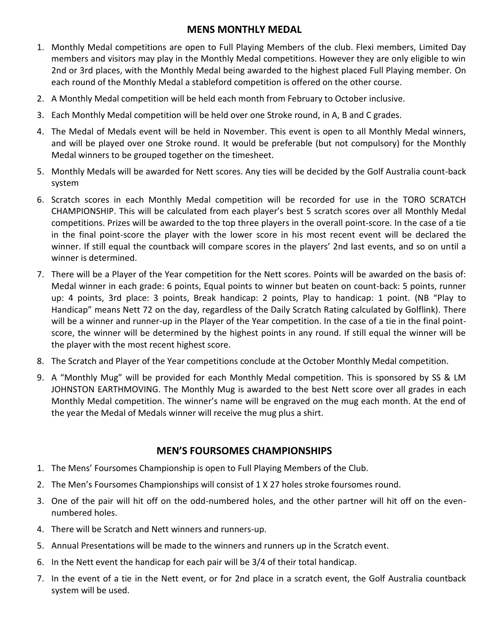## **MENS MONTHLY MEDAL**

- 1. Monthly Medal competitions are open to Full Playing Members of the club. Flexi members, Limited Day members and visitors may play in the Monthly Medal competitions. However they are only eligible to win 2nd or 3rd places, with the Monthly Medal being awarded to the highest placed Full Playing member. On each round of the Monthly Medal a stableford competition is offered on the other course.
- 2. A Monthly Medal competition will be held each month from February to October inclusive.
- 3. Each Monthly Medal competition will be held over one Stroke round, in A, B and C grades.
- 4. The Medal of Medals event will be held in November. This event is open to all Monthly Medal winners, and will be played over one Stroke round. It would be preferable (but not compulsory) for the Monthly Medal winners to be grouped together on the timesheet.
- 5. Monthly Medals will be awarded for Nett scores. Any ties will be decided by the Golf Australia count-back system
- 6. Scratch scores in each Monthly Medal competition will be recorded for use in the TORO SCRATCH CHAMPIONSHIP. This will be calculated from each player's best 5 scratch scores over all Monthly Medal competitions. Prizes will be awarded to the top three players in the overall point-score. In the case of a tie in the final point-score the player with the lower score in his most recent event will be declared the winner. If still equal the countback will compare scores in the players' 2nd last events, and so on until a winner is determined.
- 7. There will be a Player of the Year competition for the Nett scores. Points will be awarded on the basis of: Medal winner in each grade: 6 points, Equal points to winner but beaten on count-back: 5 points, runner up: 4 points, 3rd place: 3 points, Break handicap: 2 points, Play to handicap: 1 point. (NB "Play to Handicap" means Nett 72 on the day, regardless of the Daily Scratch Rating calculated by Golflink). There will be a winner and runner-up in the Player of the Year competition. In the case of a tie in the final pointscore, the winner will be determined by the highest points in any round. If still equal the winner will be the player with the most recent highest score.
- 8. The Scratch and Player of the Year competitions conclude at the October Monthly Medal competition.
- 9. A "Monthly Mug" will be provided for each Monthly Medal competition. This is sponsored by SS & LM JOHNSTON EARTHMOVING. The Monthly Mug is awarded to the best Nett score over all grades in each Monthly Medal competition. The winner's name will be engraved on the mug each month. At the end of the year the Medal of Medals winner will receive the mug plus a shirt.

# **MEN'S FOURSOMES CHAMPIONSHIPS**

- 1. The Mens' Foursomes Championship is open to Full Playing Members of the Club.
- 2. The Men's Foursomes Championships will consist of 1 X 27 holes stroke foursomes round.
- 3. One of the pair will hit off on the odd-numbered holes, and the other partner will hit off on the evennumbered holes.
- 4. There will be Scratch and Nett winners and runners-up.
- 5. Annual Presentations will be made to the winners and runners up in the Scratch event.
- 6. In the Nett event the handicap for each pair will be 3/4 of their total handicap.
- 7. In the event of a tie in the Nett event, or for 2nd place in a scratch event, the Golf Australia countback system will be used.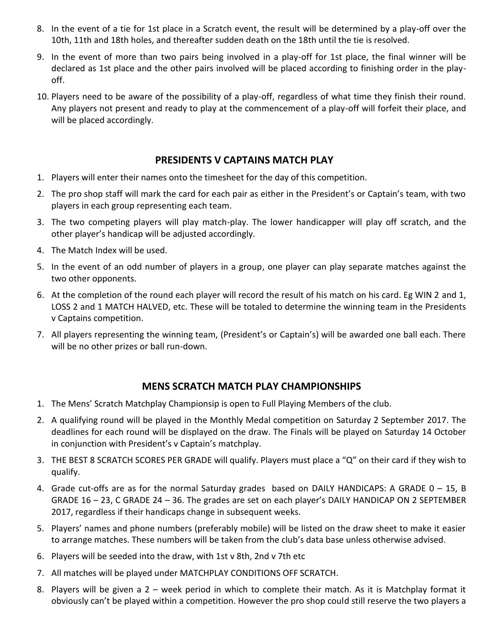- 8. In the event of a tie for 1st place in a Scratch event, the result will be determined by a play-off over the 10th, 11th and 18th holes, and thereafter sudden death on the 18th until the tie is resolved.
- 9. In the event of more than two pairs being involved in a play-off for 1st place, the final winner will be declared as 1st place and the other pairs involved will be placed according to finishing order in the playoff.
- 10. Players need to be aware of the possibility of a play-off, regardless of what time they finish their round. Any players not present and ready to play at the commencement of a play-off will forfeit their place, and will be placed accordingly.

### **PRESIDENTS V CAPTAINS MATCH PLAY**

- 1. Players will enter their names onto the timesheet for the day of this competition.
- 2. The pro shop staff will mark the card for each pair as either in the President's or Captain's team, with two players in each group representing each team.
- 3. The two competing players will play match-play. The lower handicapper will play off scratch, and the other player's handicap will be adjusted accordingly.
- 4. The Match Index will be used.
- 5. In the event of an odd number of players in a group, one player can play separate matches against the two other opponents.
- 6. At the completion of the round each player will record the result of his match on his card. Eg WIN 2 and 1, LOSS 2 and 1 MATCH HALVED, etc. These will be totaled to determine the winning team in the Presidents v Captains competition.
- 7. All players representing the winning team, (President's or Captain's) will be awarded one ball each. There will be no other prizes or ball run-down.

### **MENS SCRATCH MATCH PLAY CHAMPIONSHIPS**

- 1. The Mens' Scratch Matchplay Championsip is open to Full Playing Members of the club.
- 2. A qualifying round will be played in the Monthly Medal competition on Saturday 2 September 2017. The deadlines for each round will be displayed on the draw. The Finals will be played on Saturday 14 October in conjunction with President's v Captain's matchplay.
- 3. THE BEST 8 SCRATCH SCORES PER GRADE will qualify. Players must place a "Q" on their card if they wish to qualify.
- 4. Grade cut-offs are as for the normal Saturday grades based on DAILY HANDICAPS: A GRADE 0 15, B GRADE 16 – 23, C GRADE 24 – 36. The grades are set on each player's DAILY HANDICAP ON 2 SEPTEMBER 2017, regardless if their handicaps change in subsequent weeks.
- 5. Players' names and phone numbers (preferably mobile) will be listed on the draw sheet to make it easier to arrange matches. These numbers will be taken from the club's data base unless otherwise advised.
- 6. Players will be seeded into the draw, with 1st v 8th, 2nd v 7th etc
- 7. All matches will be played under MATCHPLAY CONDITIONS OFF SCRATCH.
- 8. Players will be given a 2 week period in which to complete their match. As it is Matchplay format it obviously can't be played within a competition. However the pro shop could still reserve the two players a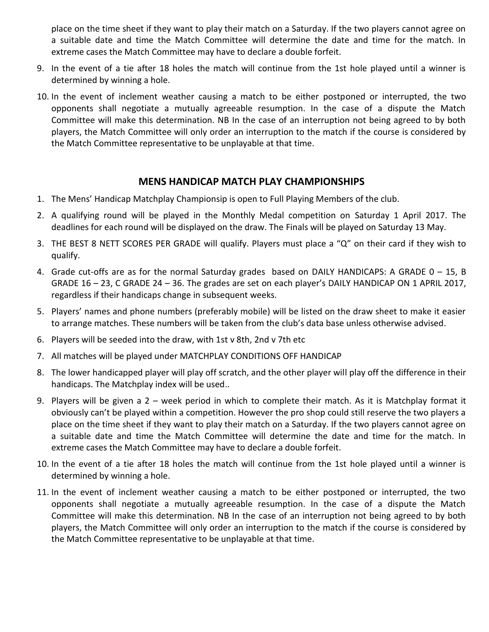place on the time sheet if they want to play their match on a Saturday. If the two players cannot agree on a suitable date and time the Match Committee will determine the date and time for the match. In extreme cases the Match Committee may have to declare a double forfeit.

- 9. In the event of a tie after 18 holes the match will continue from the 1st hole played until a winner is determined by winning a hole.
- 10. In the event of inclement weather causing a match to be either postponed or interrupted, the two opponents shall negotiate a mutually agreeable resumption. In the case of a dispute the Match Committee will make this determination. NB In the case of an interruption not being agreed to by both players, the Match Committee will only order an interruption to the match if the course is considered by the Match Committee representative to be unplayable at that time.

## **MENS HANDICAP MATCH PLAY CHAMPIONSHIPS**

- 1. The Mens' Handicap Matchplay Championsip is open to Full Playing Members of the club.
- 2. A qualifying round will be played in the Monthly Medal competition on Saturday 1 April 2017. The deadlines for each round will be displayed on the draw. The Finals will be played on Saturday 13 May.
- 3. THE BEST 8 NETT SCORES PER GRADE will qualify. Players must place a "Q" on their card if they wish to qualify.
- 4. Grade cut-offs are as for the normal Saturday grades based on DAILY HANDICAPS: A GRADE 0 15, B GRADE 16 – 23, C GRADE 24 – 36. The grades are set on each player's DAILY HANDICAP ON 1 APRIL 2017, regardless if their handicaps change in subsequent weeks.
- 5. Players' names and phone numbers (preferably mobile) will be listed on the draw sheet to make it easier to arrange matches. These numbers will be taken from the club's data base unless otherwise advised.
- 6. Players will be seeded into the draw, with 1st v 8th, 2nd v 7th etc
- 7. All matches will be played under MATCHPLAY CONDITIONS OFF HANDICAP
- 8. The lower handicapped player will play off scratch, and the other player will play off the difference in their handicaps. The Matchplay index will be used..
- 9. Players will be given a 2 week period in which to complete their match. As it is Matchplay format it obviously can't be played within a competition. However the pro shop could still reserve the two players a place on the time sheet if they want to play their match on a Saturday. If the two players cannot agree on a suitable date and time the Match Committee will determine the date and time for the match. In extreme cases the Match Committee may have to declare a double forfeit.
- 10. In the event of a tie after 18 holes the match will continue from the 1st hole played until a winner is determined by winning a hole.
- 11. In the event of inclement weather causing a match to be either postponed or interrupted, the two opponents shall negotiate a mutually agreeable resumption. In the case of a dispute the Match Committee will make this determination. NB In the case of an interruption not being agreed to by both players, the Match Committee will only order an interruption to the match if the course is considered by the Match Committee representative to be unplayable at that time.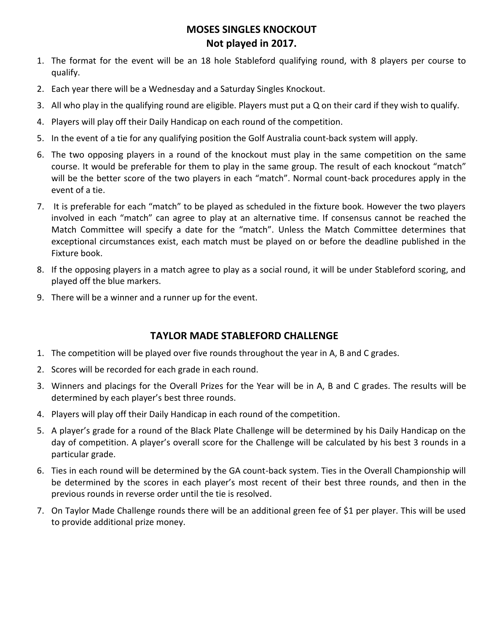## **MOSES SINGLES KNOCKOUT Not played in 2017.**

- 1. The format for the event will be an 18 hole Stableford qualifying round, with 8 players per course to qualify.
- 2. Each year there will be a Wednesday and a Saturday Singles Knockout.
- 3. All who play in the qualifying round are eligible. Players must put a Q on their card if they wish to qualify.
- 4. Players will play off their Daily Handicap on each round of the competition.
- 5. In the event of a tie for any qualifying position the Golf Australia count-back system will apply.
- 6. The two opposing players in a round of the knockout must play in the same competition on the same course. It would be preferable for them to play in the same group. The result of each knockout "match" will be the better score of the two players in each "match". Normal count-back procedures apply in the event of a tie.
- 7. It is preferable for each "match" to be played as scheduled in the fixture book. However the two players involved in each "match" can agree to play at an alternative time. If consensus cannot be reached the Match Committee will specify a date for the "match". Unless the Match Committee determines that exceptional circumstances exist, each match must be played on or before the deadline published in the Fixture book.
- 8. If the opposing players in a match agree to play as a social round, it will be under Stableford scoring, and played off the blue markers.
- 9. There will be a winner and a runner up for the event.

# **TAYLOR MADE STABLEFORD CHALLENGE**

- 1. The competition will be played over five rounds throughout the year in A, B and C grades.
- 2. Scores will be recorded for each grade in each round.
- 3. Winners and placings for the Overall Prizes for the Year will be in A, B and C grades. The results will be determined by each player's best three rounds.
- 4. Players will play off their Daily Handicap in each round of the competition.
- 5. A player's grade for a round of the Black Plate Challenge will be determined by his Daily Handicap on the day of competition. A player's overall score for the Challenge will be calculated by his best 3 rounds in a particular grade.
- 6. Ties in each round will be determined by the GA count-back system. Ties in the Overall Championship will be determined by the scores in each player's most recent of their best three rounds, and then in the previous rounds in reverse order until the tie is resolved.
- 7. On Taylor Made Challenge rounds there will be an additional green fee of \$1 per player. This will be used to provide additional prize money.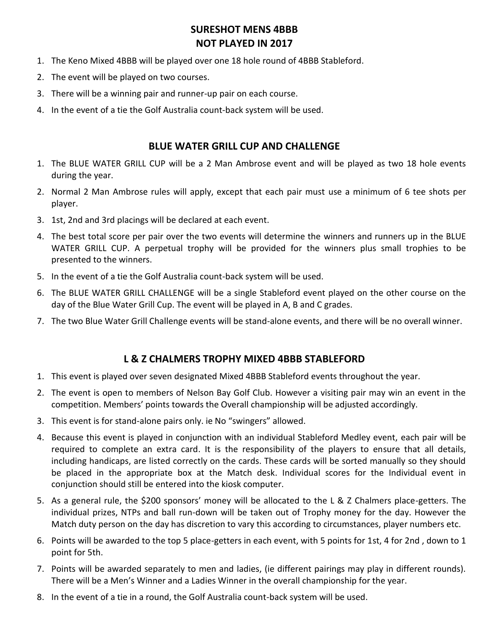# **SURESHOT MENS 4BBB NOT PLAYED IN 2017**

- 1. The Keno Mixed 4BBB will be played over one 18 hole round of 4BBB Stableford.
- 2. The event will be played on two courses.
- 3. There will be a winning pair and runner-up pair on each course.
- 4. In the event of a tie the Golf Australia count-back system will be used.

### **BLUE WATER GRILL CUP AND CHALLENGE**

- 1. The BLUE WATER GRILL CUP will be a 2 Man Ambrose event and will be played as two 18 hole events during the year.
- 2. Normal 2 Man Ambrose rules will apply, except that each pair must use a minimum of 6 tee shots per player.
- 3. 1st, 2nd and 3rd placings will be declared at each event.
- 4. The best total score per pair over the two events will determine the winners and runners up in the BLUE WATER GRILL CUP. A perpetual trophy will be provided for the winners plus small trophies to be presented to the winners.
- 5. In the event of a tie the Golf Australia count-back system will be used.
- 6. The BLUE WATER GRILL CHALLENGE will be a single Stableford event played on the other course on the day of the Blue Water Grill Cup. The event will be played in A, B and C grades.
- 7. The two Blue Water Grill Challenge events will be stand-alone events, and there will be no overall winner.

### **L & Z CHALMERS TROPHY MIXED 4BBB STABLEFORD**

- 1. This event is played over seven designated Mixed 4BBB Stableford events throughout the year.
- 2. The event is open to members of Nelson Bay Golf Club. However a visiting pair may win an event in the competition. Members' points towards the Overall championship will be adjusted accordingly.
- 3. This event is for stand-alone pairs only. ie No "swingers" allowed.
- 4. Because this event is played in conjunction with an individual Stableford Medley event, each pair will be required to complete an extra card. It is the responsibility of the players to ensure that all details, including handicaps, are listed correctly on the cards. These cards will be sorted manually so they should be placed in the appropriate box at the Match desk. Individual scores for the Individual event in conjunction should still be entered into the kiosk computer.
- 5. As a general rule, the \$200 sponsors' money will be allocated to the L & Z Chalmers place-getters. The individual prizes, NTPs and ball run-down will be taken out of Trophy money for the day. However the Match duty person on the day has discretion to vary this according to circumstances, player numbers etc.
- 6. Points will be awarded to the top 5 place-getters in each event, with 5 points for 1st, 4 for 2nd , down to 1 point for 5th.
- 7. Points will be awarded separately to men and ladies, (ie different pairings may play in different rounds). There will be a Men's Winner and a Ladies Winner in the overall championship for the year.
- 8. In the event of a tie in a round, the Golf Australia count-back system will be used.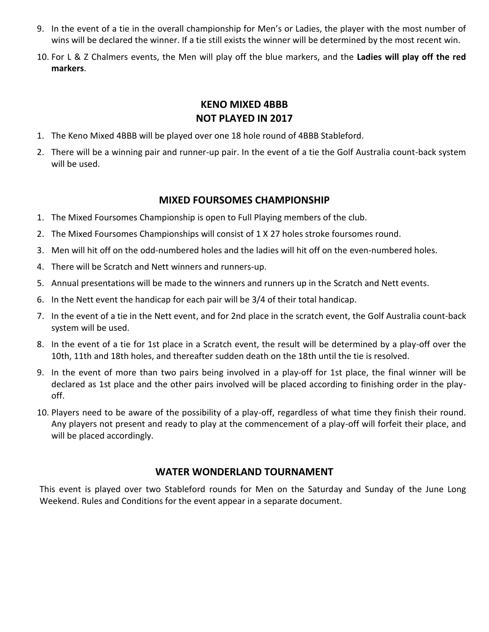- 9. In the event of a tie in the overall championship for Men's or Ladies, the player with the most number of wins will be declared the winner. If a tie still exists the winner will be determined by the most recent win.
- 10. For L & Z Chalmers events, the Men will play off the blue markers, and the **Ladies will play off the red markers**.

# **KENO MIXED 4BBB NOT PLAYED IN 2017**

- 1. The Keno Mixed 4BBB will be played over one 18 hole round of 4BBB Stableford.
- 2. There will be a winning pair and runner-up pair. In the event of a tie the Golf Australia count-back system will be used.

## **MIXED FOURSOMES CHAMPIONSHIP**

- 1. The Mixed Foursomes Championship is open to Full Playing members of the club.
- 2. The Mixed Foursomes Championships will consist of 1 X 27 holes stroke foursomes round.
- 3. Men will hit off on the odd-numbered holes and the ladies will hit off on the even-numbered holes.
- 4. There will be Scratch and Nett winners and runners-up.
- 5. Annual presentations will be made to the winners and runners up in the Scratch and Nett events.
- 6. In the Nett event the handicap for each pair will be 3/4 of their total handicap.
- 7. In the event of a tie in the Nett event, and for 2nd place in the scratch event, the Golf Australia count-back system will be used.
- 8. In the event of a tie for 1st place in a Scratch event, the result will be determined by a play-off over the 10th, 11th and 18th holes, and thereafter sudden death on the 18th until the tie is resolved.
- 9. In the event of more than two pairs being involved in a play-off for 1st place, the final winner will be declared as 1st place and the other pairs involved will be placed according to finishing order in the playoff.
- 10. Players need to be aware of the possibility of a play-off, regardless of what time they finish their round. Any players not present and ready to play at the commencement of a play-off will forfeit their place, and will be placed accordingly.

### **WATER WONDERLAND TOURNAMENT**

This event is played over two Stableford rounds for Men on the Saturday and Sunday of the June Long Weekend. Rules and Conditions for the event appear in a separate document.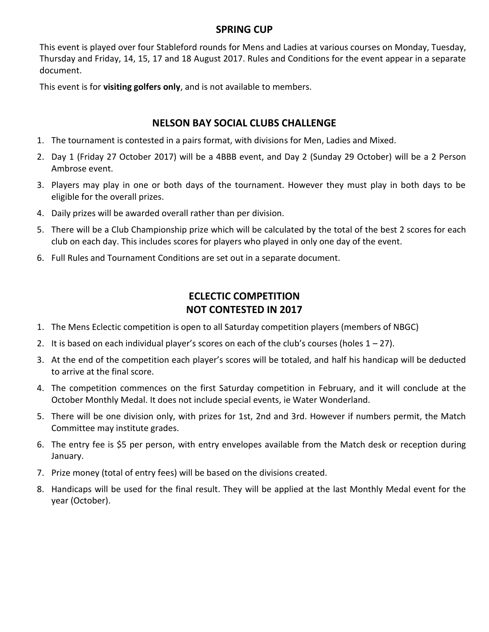### **SPRING CUP**

This event is played over four Stableford rounds for Mens and Ladies at various courses on Monday, Tuesday, Thursday and Friday, 14, 15, 17 and 18 August 2017. Rules and Conditions for the event appear in a separate document.

This event is for **visiting golfers only**, and is not available to members.

## **NELSON BAY SOCIAL CLUBS CHALLENGE**

- 1. The tournament is contested in a pairs format, with divisions for Men, Ladies and Mixed.
- 2. Day 1 (Friday 27 October 2017) will be a 4BBB event, and Day 2 (Sunday 29 October) will be a 2 Person Ambrose event.
- 3. Players may play in one or both days of the tournament. However they must play in both days to be eligible for the overall prizes.
- 4. Daily prizes will be awarded overall rather than per division.
- 5. There will be a Club Championship prize which will be calculated by the total of the best 2 scores for each club on each day. This includes scores for players who played in only one day of the event.
- 6. Full Rules and Tournament Conditions are set out in a separate document.

# **ECLECTIC COMPETITION NOT CONTESTED IN 2017**

- 1. The Mens Eclectic competition is open to all Saturday competition players (members of NBGC)
- 2. It is based on each individual player's scores on each of the club's courses (holes  $1 27$ ).
- 3. At the end of the competition each player's scores will be totaled, and half his handicap will be deducted to arrive at the final score.
- 4. The competition commences on the first Saturday competition in February, and it will conclude at the October Monthly Medal. It does not include special events, ie Water Wonderland.
- 5. There will be one division only, with prizes for 1st, 2nd and 3rd. However if numbers permit, the Match Committee may institute grades.
- 6. The entry fee is \$5 per person, with entry envelopes available from the Match desk or reception during January.
- 7. Prize money (total of entry fees) will be based on the divisions created.
- 8. Handicaps will be used for the final result. They will be applied at the last Monthly Medal event for the year (October).